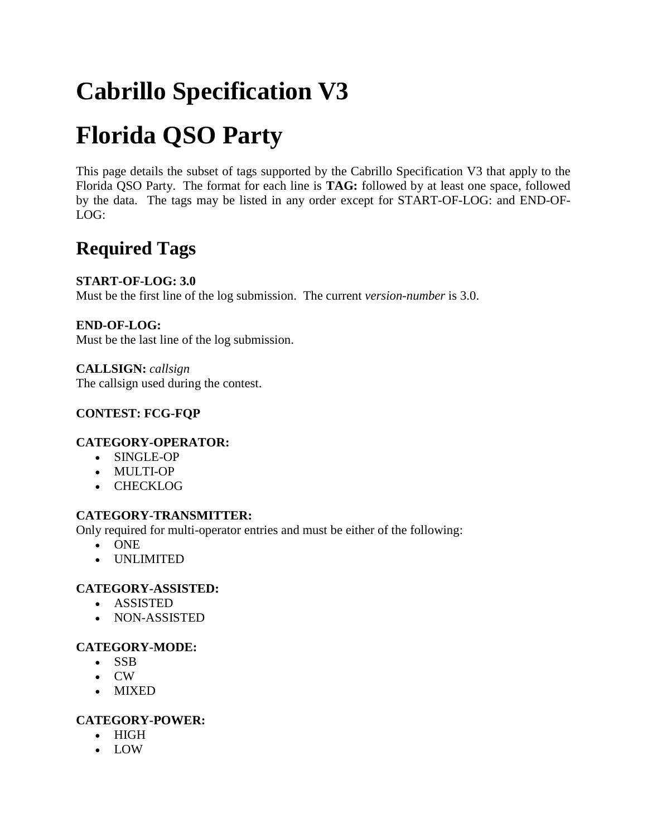# **Cabrillo Specification V3**

# **Florida QSO Party**

This page details the subset of tags supported by the Cabrillo Specification V3 that apply to the Florida QSO Party. The format for each line is **TAG:** followed by at least one space, followed by the data. The tags may be listed in any order except for START-OF-LOG: and END-OF-LOG:

# **Required Tags**

# **START-OF-LOG: 3.0**

Must be the first line of the log submission. The current *version-number* is 3.0.

# **END-OF-LOG:**

Must be the last line of the log submission.

**CALLSIGN:** *callsign* The callsign used during the contest.

# **CONTEST: FCG-FQP**

# **CATEGORY-OPERATOR:**

- SINGLE-OP
- MULTI-OP
- CHECKLOG

# **CATEGORY-TRANSMITTER:**

Only required for multi-operator entries and must be either of the following:

- ONE
- UNLIMITED

# **CATEGORY-ASSISTED:**

- ASSISTED
- NON-ASSISTED

# **CATEGORY-MODE:**

- SSB
- CW
- MIXED

# **CATEGORY-POWER:**

- HIGH
- LOW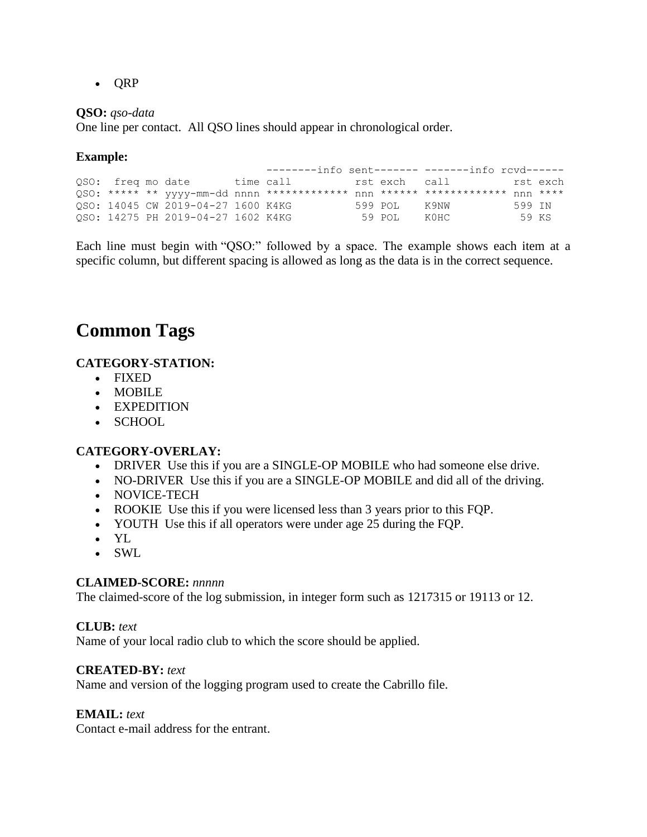$\bullet$  ORP

#### **QSO:** *qso-data*

One line per contact. All QSO lines should appear in chronological order.

### **Example:**

|                   |                                    |  |              | $-----info$ sent------- -------info rcyd------ |        |  |
|-------------------|------------------------------------|--|--------------|------------------------------------------------|--------|--|
| QSO: freq mo date |                                    |  |              | time call ist exchicall in the rst exch        |        |  |
|                   |                                    |  |              |                                                |        |  |
|                   | OSO: 14045 CW 2019-04-27 1600 K4KG |  | 599 POL K9NW |                                                | 599 TN |  |
|                   | OSO: 14275 PH 2019-04-27 1602 K4KG |  | 59 POL       | KOHC.                                          | 59 KS  |  |

Each line must begin with "QSO:" followed by a space. The example shows each item at a specific column, but different spacing is allowed as long as the data is in the correct sequence.

# **Common Tags**

# **CATEGORY-STATION:**

- FIXED
- MOBILE
- EXPEDITION
- SCHOOL

# **CATEGORY-OVERLAY:**

- DRIVER Use this if you are a SINGLE-OP MOBILE who had someone else drive.
- NO-DRIVER Use this if you are a SINGLE-OP MOBILE and did all of the driving.
- NOVICE-TECH
- ROOKIE Use this if you were licensed less than 3 years prior to this FQP.
- YOUTH Use this if all operators were under age 25 during the FQP.
- YL
- SWL

#### **CLAIMED-SCORE:** *nnnnn*

The claimed-score of the log submission, in integer form such as 1217315 or 19113 or 12.

#### **CLUB:** *text*

Name of your local radio club to which the score should be applied.

#### **CREATED-BY:** *text*

Name and version of the logging program used to create the Cabrillo file.

#### **EMAIL:** *text*

Contact e-mail address for the entrant.